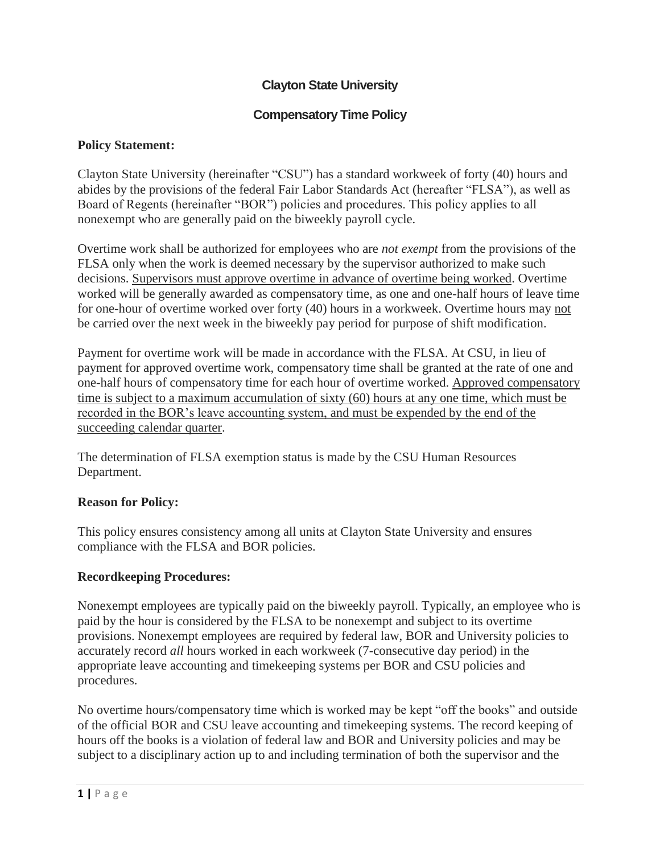# **Clayton State University**

# **Compensatory Time Policy**

### **Policy Statement:**

Clayton State University (hereinafter "CSU") has a standard workweek of forty (40) hours and abides by the provisions of the federal Fair Labor Standards Act (hereafter "FLSA"), as well as Board of Regents (hereinafter "BOR") policies and procedures. This policy applies to all nonexempt who are generally paid on the biweekly payroll cycle.

Overtime work shall be authorized for employees who are *not exempt* from the provisions of the FLSA only when the work is deemed necessary by the supervisor authorized to make such decisions. Supervisors must approve overtime in advance of overtime being worked. Overtime worked will be generally awarded as compensatory time, as one and one-half hours of leave time for one-hour of overtime worked over forty (40) hours in a workweek. Overtime hours may not be carried over the next week in the biweekly pay period for purpose of shift modification.

Payment for overtime work will be made in accordance with the FLSA. At CSU, in lieu of payment for approved overtime work, compensatory time shall be granted at the rate of one and one-half hours of compensatory time for each hour of overtime worked. Approved compensatory time is subject to a maximum accumulation of sixty (60) hours at any one time, which must be recorded in the BOR's leave accounting system, and must be expended by the end of the succeeding calendar quarter.

The determination of FLSA exemption status is made by the CSU Human Resources Department.

### **Reason for Policy:**

This policy ensures consistency among all units at Clayton State University and ensures compliance with the FLSA and BOR policies.

### **Recordkeeping Procedures:**

Nonexempt employees are typically paid on the biweekly payroll. Typically, an employee who is paid by the hour is considered by the FLSA to be nonexempt and subject to its overtime provisions. Nonexempt employees are required by federal law, BOR and University policies to accurately record *all* hours worked in each workweek (7-consecutive day period) in the appropriate leave accounting and timekeeping systems per BOR and CSU policies and procedures.

No overtime hours/compensatory time which is worked may be kept "off the books" and outside of the official BOR and CSU leave accounting and timekeeping systems. The record keeping of hours off the books is a violation of federal law and BOR and University policies and may be subject to a disciplinary action up to and including termination of both the supervisor and the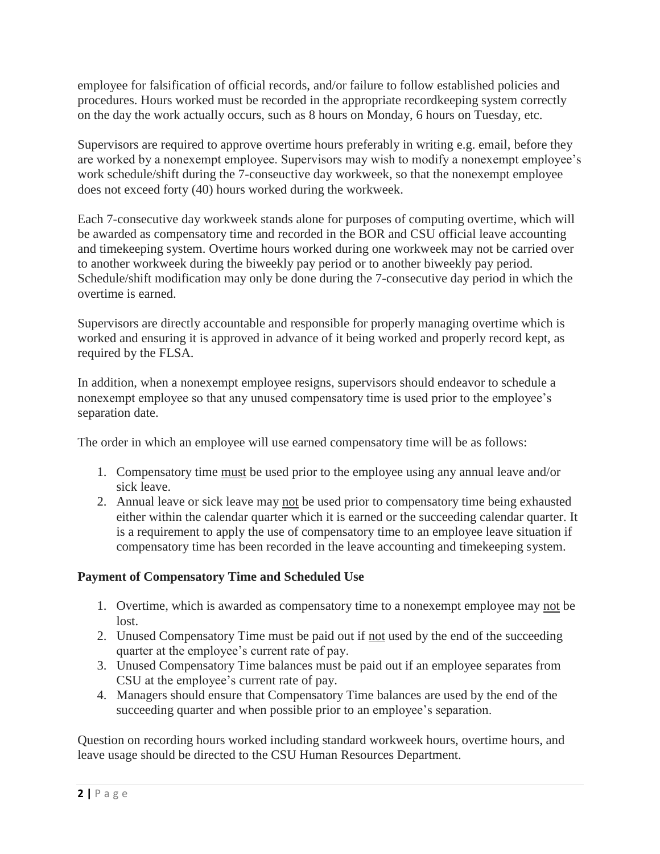employee for falsification of official records, and/or failure to follow established policies and procedures. Hours worked must be recorded in the appropriate recordkeeping system correctly on the day the work actually occurs, such as 8 hours on Monday, 6 hours on Tuesday, etc.

Supervisors are required to approve overtime hours preferably in writing e.g. email, before they are worked by a nonexempt employee. Supervisors may wish to modify a nonexempt employee's work schedule/shift during the 7-conseuctive day workweek, so that the nonexempt employee does not exceed forty (40) hours worked during the workweek.

Each 7-consecutive day workweek stands alone for purposes of computing overtime, which will be awarded as compensatory time and recorded in the BOR and CSU official leave accounting and timekeeping system. Overtime hours worked during one workweek may not be carried over to another workweek during the biweekly pay period or to another biweekly pay period. Schedule/shift modification may only be done during the 7-consecutive day period in which the overtime is earned.

Supervisors are directly accountable and responsible for properly managing overtime which is worked and ensuring it is approved in advance of it being worked and properly record kept, as required by the FLSA.

In addition, when a nonexempt employee resigns, supervisors should endeavor to schedule a nonexempt employee so that any unused compensatory time is used prior to the employee's separation date.

The order in which an employee will use earned compensatory time will be as follows:

- 1. Compensatory time must be used prior to the employee using any annual leave and/or sick leave.
- 2. Annual leave or sick leave may not be used prior to compensatory time being exhausted either within the calendar quarter which it is earned or the succeeding calendar quarter. It is a requirement to apply the use of compensatory time to an employee leave situation if compensatory time has been recorded in the leave accounting and timekeeping system.

# **Payment of Compensatory Time and Scheduled Use**

- 1. Overtime, which is awarded as compensatory time to a nonexempt employee may not be lost.
- 2. Unused Compensatory Time must be paid out if not used by the end of the succeeding quarter at the employee's current rate of pay.
- 3. Unused Compensatory Time balances must be paid out if an employee separates from CSU at the employee's current rate of pay.
- 4. Managers should ensure that Compensatory Time balances are used by the end of the succeeding quarter and when possible prior to an employee's separation.

Question on recording hours worked including standard workweek hours, overtime hours, and leave usage should be directed to the CSU Human Resources Department.